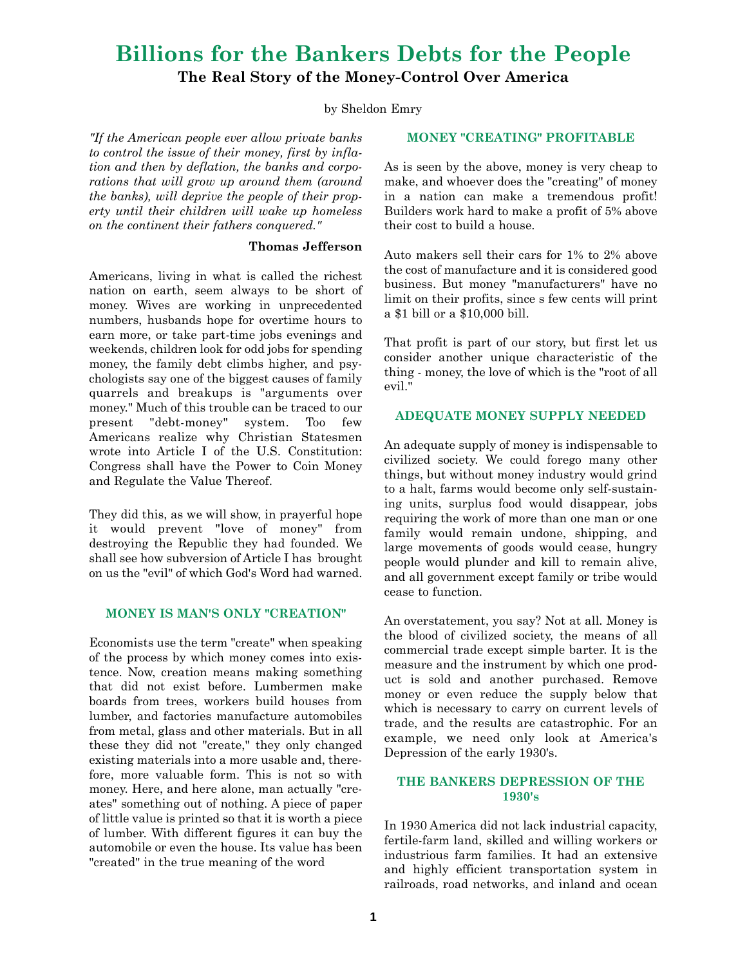# **Billions for the Bankers Debts for the People The Real Story of the Money-Control Over America**

by Sheldon Emry

*"If the American people ever allow private banks to control the issue of their money, first by inflation and then by deflation, the banks and corporations that will grow up around them (around the banks), will deprive the people of their property until their children will wake up homeless on the continent their fathers conquered."*

#### **Thomas Jefferson**

Americans, living in what is called the richest nation on earth, seem always to be short of money. Wives are working in unprecedented numbers, husbands hope for overtime hours to earn more, or take part-time jobs evenings and weekends, children look for odd jobs for spending money, the family debt climbs higher, and psychologists say one of the biggest causes of family quarrels and breakups is "arguments over money." Much of this trouble can be traced to our present "debt-money" system. Too few Americans realize why Christian Statesmen wrote into Article I of the U.S. Constitution: Congress shall have the Power to Coin Money and Regulate the Value Thereof.

They did this, as we will show, in prayerful hope it would prevent "love of money" from destroying the Republic they had founded. We shall see how subversion of Article I has brought on us the "evil" of which God's Word had warned.

## **MONEY IS MAN'S ONLY "CREATION"**

Economists use the term "create" when speaking of the process by which money comes into existence. Now, creation means making something that did not exist before. Lumbermen make boards from trees, workers build houses from lumber, and factories manufacture automobiles from metal, glass and other materials. But in all these they did not "create," they only changed existing materials into a more usable and, therefore, more valuable form. This is not so with money. Here, and here alone, man actually "creates" something out of nothing. A piece of paper of little value is printed so that it is worth a piece of lumber. With different figures it can buy the automobile or even the house. Its value has been "created" in the true meaning of the word

## **MONEY "CREATING" PROFITABLE**

As is seen by the above, money is very cheap to make, and whoever does the "creating" of money in a nation can make a tremendous profit! Builders work hard to make a profit of 5% above their cost to build a house.

Auto makers sell their cars for 1% to 2% above the cost of manufacture and it is considered good business. But money "manufacturers" have no limit on their profits, since s few cents will print a \$1 bill or a \$10,000 bill.

That profit is part of our story, but first let us consider another unique characteristic of the thing - money, the love of which is the "root of all evil."

## **ADEQUATE MONEY SUPPLY NEEDED**

An adequate supply of money is indispensable to civilized society. We could forego many other things, but without money industry would grind to a halt, farms would become only self-sustaining units, surplus food would disappear, jobs requiring the work of more than one man or one family would remain undone, shipping, and large movements of goods would cease, hungry people would plunder and kill to remain alive, and all government except family or tribe would cease to function.

An overstatement, you say? Not at all. Money is the blood of civilized society, the means of all commercial trade except simple barter. It is the measure and the instrument by which one product is sold and another purchased. Remove money or even reduce the supply below that which is necessary to carry on current levels of trade, and the results are catastrophic. For an example, we need only look at America's Depression of the early 1930's.

## **THE BANKERS DEPRESSION OF THE 1930's**

In 1930 America did not lack industrial capacity, fertile-farm land, skilled and willing workers or industrious farm families. It had an extensive and highly efficient transportation system in railroads, road networks, and inland and ocean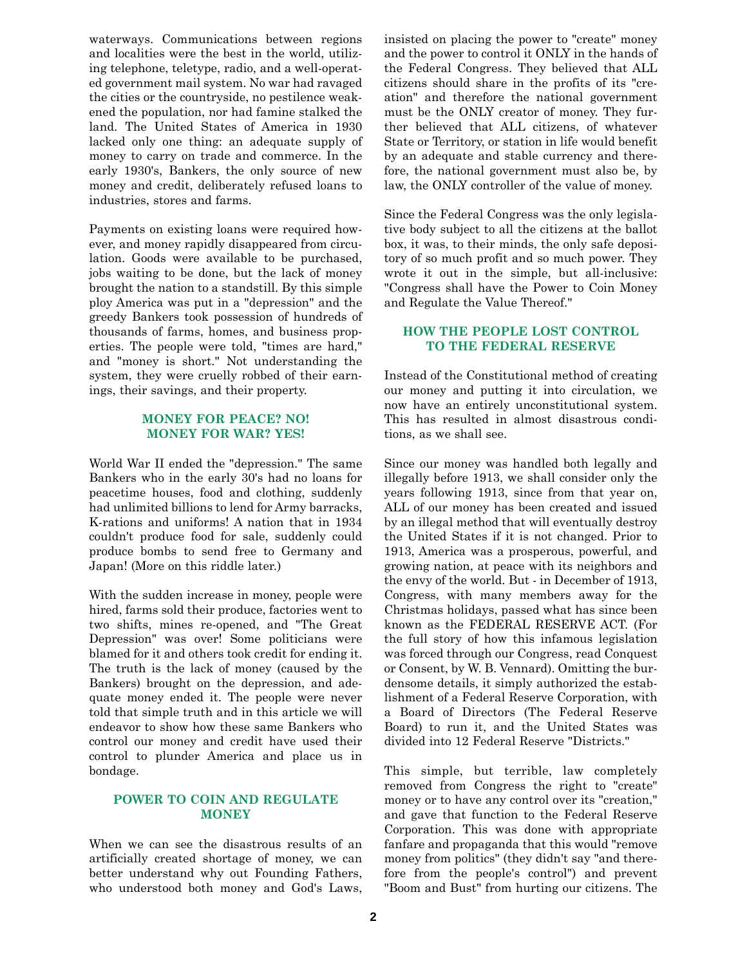waterways. Communications between regions and localities were the best in the world, utilizing telephone, teletype, radio, and a well-operated government mail system. No war had ravaged the cities or the countryside, no pestilence weakened the population, nor had famine stalked the land. The United States of America in 1930 lacked only one thing: an adequate supply of money to carry on trade and commerce. In the early 1930's, Bankers, the only source of new money and credit, deliberately refused loans to industries, stores and farms.

Payments on existing loans were required however, and money rapidly disappeared from circulation. Goods were available to be purchased, jobs waiting to be done, but the lack of money brought the nation to a standstill. By this simple ploy America was put in a "depression" and the greedy Bankers took possession of hundreds of thousands of farms, homes, and business properties. The people were told, "times are hard," and "money is short." Not understanding the system, they were cruelly robbed of their earnings, their savings, and their property.

## **MONEY FOR PEACE? NO! MONEY FOR WAR? YES!**

World War II ended the "depression." The same Bankers who in the early 30's had no loans for peacetime houses, food and clothing, suddenly had unlimited billions to lend for Army barracks, K-rations and uniforms! A nation that in 1934 couldn't produce food for sale, suddenly could produce bombs to send free to Germany and Japan! (More on this riddle later.)

With the sudden increase in money, people were hired, farms sold their produce, factories went to two shifts, mines re-opened, and "The Great Depression" was over! Some politicians were blamed for it and others took credit for ending it. The truth is the lack of money (caused by the Bankers) brought on the depression, and adequate money ended it. The people were never told that simple truth and in this article we will endeavor to show how these same Bankers who control our money and credit have used their control to plunder America and place us in bondage.

## **POWER TO COIN AND REGULATE MONEY**

When we can see the disastrous results of an artificially created shortage of money, we can better understand why out Founding Fathers, who understood both money and God's Laws, insisted on placing the power to "create" money and the power to control it ONLY in the hands of the Federal Congress. They believed that ALL citizens should share in the profits of its "creation" and therefore the national government must be the ONLY creator of money. They further believed that ALL citizens, of whatever State or Territory, or station in life would benefit by an adequate and stable currency and therefore, the national government must also be, by law, the ONLY controller of the value of money.

Since the Federal Congress was the only legislative body subject to all the citizens at the ballot box, it was, to their minds, the only safe depository of so much profit and so much power. They wrote it out in the simple, but all-inclusive: "Congress shall have the Power to Coin Money and Regulate the Value Thereof."

## **HOW THE PEOPLE LOST CONTROL TO THE FEDERAL RESERVE**

Instead of the Constitutional method of creating our money and putting it into circulation, we now have an entirely unconstitutional system. This has resulted in almost disastrous conditions, as we shall see.

Since our money was handled both legally and illegally before 1913, we shall consider only the years following 1913, since from that year on, ALL of our money has been created and issued by an illegal method that will eventually destroy the United States if it is not changed. Prior to 1913, America was a prosperous, powerful, and growing nation, at peace with its neighbors and the envy of the world. But - in December of 1913, Congress, with many members away for the Christmas holidays, passed what has since been known as the FEDERAL RESERVE ACT. (For the full story of how this infamous legislation was forced through our Congress, read Conquest or Consent, by W. B. Vennard). Omitting the burdensome details, it simply authorized the establishment of a Federal Reserve Corporation, with a Board of Directors (The Federal Reserve Board) to run it, and the United States was divided into 12 Federal Reserve "Districts."

This simple, but terrible, law completely removed from Congress the right to "create" money or to have any control over its "creation," and gave that function to the Federal Reserve Corporation. This was done with appropriate fanfare and propaganda that this would "remove money from politics" (they didn't say "and therefore from the people's control") and prevent "Boom and Bust" from hurting our citizens. The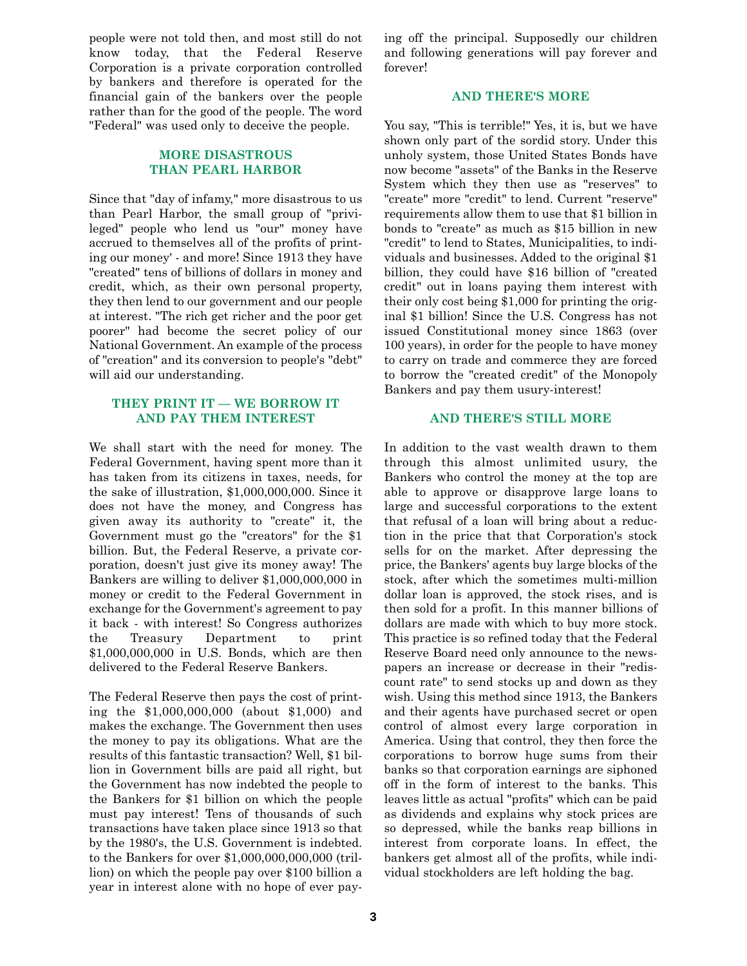people were not told then, and most still do not know today, that the Federal Reserve Corporation is a private corporation controlled by bankers and therefore is operated for the financial gain of the bankers over the people rather than for the good of the people. The word "Federal" was used only to deceive the people.

#### **MORE DISASTROUS THAN PEARL HARBOR**

Since that "day of infamy," more disastrous to us than Pearl Harbor, the small group of "privileged" people who lend us "our" money have accrued to themselves all of the profits of printing our money' - and more! Since 1913 they have "created" tens of billions of dollars in money and credit, which, as their own personal property, they then lend to our government and our people at interest. "The rich get richer and the poor get poorer" had become the secret policy of our National Government. An example of the process of "creation" and its conversion to people's "debt" will aid our understanding.

## **THEY PRINT IT — WE BORROW IT AND PAY THEM INTEREST**

We shall start with the need for money. The Federal Government, having spent more than it has taken from its citizens in taxes, needs, for the sake of illustration, \$1,000,000,000. Since it does not have the money, and Congress has given away its authority to "create" it, the Government must go the "creators" for the \$1 billion. But, the Federal Reserve, a private corporation, doesn't just give its money away! The Bankers are willing to deliver \$1,000,000,000 in money or credit to the Federal Government in exchange for the Government's agreement to pay it back - with interest! So Congress authorizes the Treasury Department to print \$1,000,000,000 in U.S. Bonds, which are then delivered to the Federal Reserve Bankers.

The Federal Reserve then pays the cost of printing the \$1,000,000,000 (about \$1,000) and makes the exchange. The Government then uses the money to pay its obligations. What are the results of this fantastic transaction? Well, \$1 billion in Government bills are paid all right, but the Government has now indebted the people to the Bankers for \$1 billion on which the people must pay interest! Tens of thousands of such transactions have taken place since 1913 so that by the 1980's, the U.S. Government is indebted. to the Bankers for over \$1,000,000,000,000 (trillion) on which the people pay over \$100 billion a year in interest alone with no hope of ever paying off the principal. Supposedly our children and following generations will pay forever and forever!

#### **AND THERE'S MORE**

You say, "This is terrible!" Yes, it is, but we have shown only part of the sordid story. Under this unholy system, those United States Bonds have now become "assets" of the Banks in the Reserve System which they then use as "reserves" to "create" more "credit" to lend. Current "reserve" requirements allow them to use that \$1 billion in bonds to "create" as much as \$15 billion in new "credit" to lend to States, Municipalities, to individuals and businesses. Added to the original \$1 billion, they could have \$16 billion of "created credit" out in loans paying them interest with their only cost being \$1,000 for printing the original \$1 billion! Since the U.S. Congress has not issued Constitutional money since 1863 (over 100 years), in order for the people to have money to carry on trade and commerce they are forced to borrow the "created credit" of the Monopoly Bankers and pay them usury-interest!

## **AND THERE'S STILL MORE**

In addition to the vast wealth drawn to them through this almost unlimited usury, the Bankers who control the money at the top are able to approve or disapprove large loans to large and successful corporations to the extent that refusal of a loan will bring about a reduction in the price that that Corporation's stock sells for on the market. After depressing the price, the Bankers' agents buy large blocks of the stock, after which the sometimes multi-million dollar loan is approved, the stock rises, and is then sold for a profit. In this manner billions of dollars are made with which to buy more stock. This practice is so refined today that the Federal Reserve Board need only announce to the newspapers an increase or decrease in their "rediscount rate" to send stocks up and down as they wish. Using this method since 1913, the Bankers and their agents have purchased secret or open control of almost every large corporation in America. Using that control, they then force the corporations to borrow huge sums from their banks so that corporation earnings are siphoned off in the form of interest to the banks. This leaves little as actual "profits" which can be paid as dividends and explains why stock prices are so depressed, while the banks reap billions in interest from corporate loans. In effect, the bankers get almost all of the profits, while individual stockholders are left holding the bag.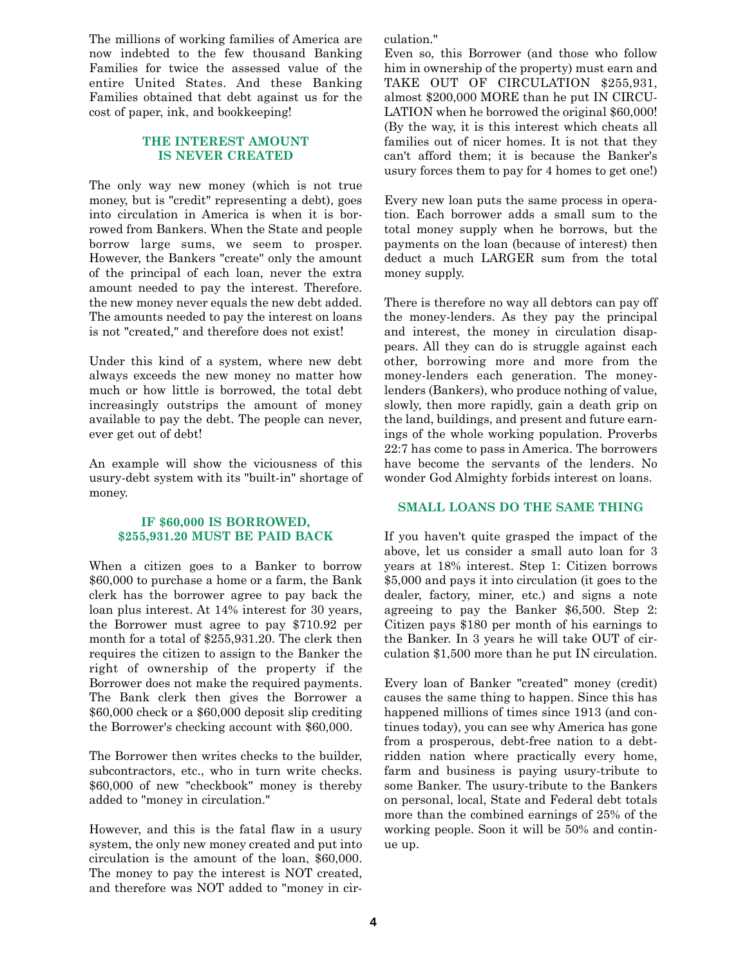The millions of working families of America are now indebted to the few thousand Banking Families for twice the assessed value of the entire United States. And these Banking Families obtained that debt against us for the cost of paper, ink, and bookkeeping!

## **THE INTEREST AMOUNT IS NEVER CREATED**

The only way new money (which is not true money, but is "credit" representing a debt), goes into circulation in America is when it is borrowed from Bankers. When the State and people borrow large sums, we seem to prosper. However, the Bankers "create" only the amount of the principal of each loan, never the extra amount needed to pay the interest. Therefore. the new money never equals the new debt added. The amounts needed to pay the interest on loans is not "created," and therefore does not exist!

Under this kind of a system, where new debt always exceeds the new money no matter how much or how little is borrowed, the total debt increasingly outstrips the amount of money available to pay the debt. The people can never, ever get out of debt!

An example will show the viciousness of this usury-debt system with its "built-in" shortage of money.

## **IF \$60,000 IS BORROWED, \$255,931.20 MUST BE PAID BACK**

When a citizen goes to a Banker to borrow \$60,000 to purchase a home or a farm, the Bank clerk has the borrower agree to pay back the loan plus interest. At 14% interest for 30 years, the Borrower must agree to pay \$710.92 per month for a total of \$255,931.20. The clerk then requires the citizen to assign to the Banker the right of ownership of the property if the Borrower does not make the required payments. The Bank clerk then gives the Borrower a \$60,000 check or a \$60,000 deposit slip crediting the Borrower's checking account with \$60,000.

The Borrower then writes checks to the builder, subcontractors, etc., who in turn write checks. \$60,000 of new "checkbook" money is thereby added to "money in circulation."

However, and this is the fatal flaw in a usury system, the only new money created and put into circulation is the amount of the loan, \$60,000. The money to pay the interest is NOT created, and therefore was NOT added to "money in circulation."

Even so, this Borrower (and those who follow him in ownership of the property) must earn and TAKE OUT OF CIRCULATION \$255,931, almost \$200,000 MORE than he put IN CIRCU-LATION when he borrowed the original \$60,000! (By the way, it is this interest which cheats all families out of nicer homes. It is not that they can't afford them; it is because the Banker's usury forces them to pay for 4 homes to get one!)

Every new loan puts the same process in operation. Each borrower adds a small sum to the total money supply when he borrows, but the payments on the loan (because of interest) then deduct a much LARGER sum from the total money supply.

There is therefore no way all debtors can pay off the money-lenders. As they pay the principal and interest, the money in circulation disappears. All they can do is struggle against each other, borrowing more and more from the money-lenders each generation. The moneylenders (Bankers), who produce nothing of value, slowly, then more rapidly, gain a death grip on the land, buildings, and present and future earnings of the whole working population. Proverbs 22:7 has come to pass in America. The borrowers have become the servants of the lenders. No wonder God Almighty forbids interest on loans.

## **SMALL LOANS DO THE SAME THING**

If you haven't quite grasped the impact of the above, let us consider a small auto loan for 3 years at 18% interest. Step 1: Citizen borrows \$5,000 and pays it into circulation (it goes to the dealer, factory, miner, etc.) and signs a note agreeing to pay the Banker \$6,500. Step 2: Citizen pays \$180 per month of his earnings to the Banker. In 3 years he will take OUT of circulation \$1,500 more than he put IN circulation.

Every loan of Banker "created" money (credit) causes the same thing to happen. Since this has happened millions of times since 1913 (and continues today), you can see why America has gone from a prosperous, debt-free nation to a debtridden nation where practically every home, farm and business is paying usury-tribute to some Banker. The usury-tribute to the Bankers on personal, local, State and Federal debt totals more than the combined earnings of 25% of the working people. Soon it will be 50% and continue up.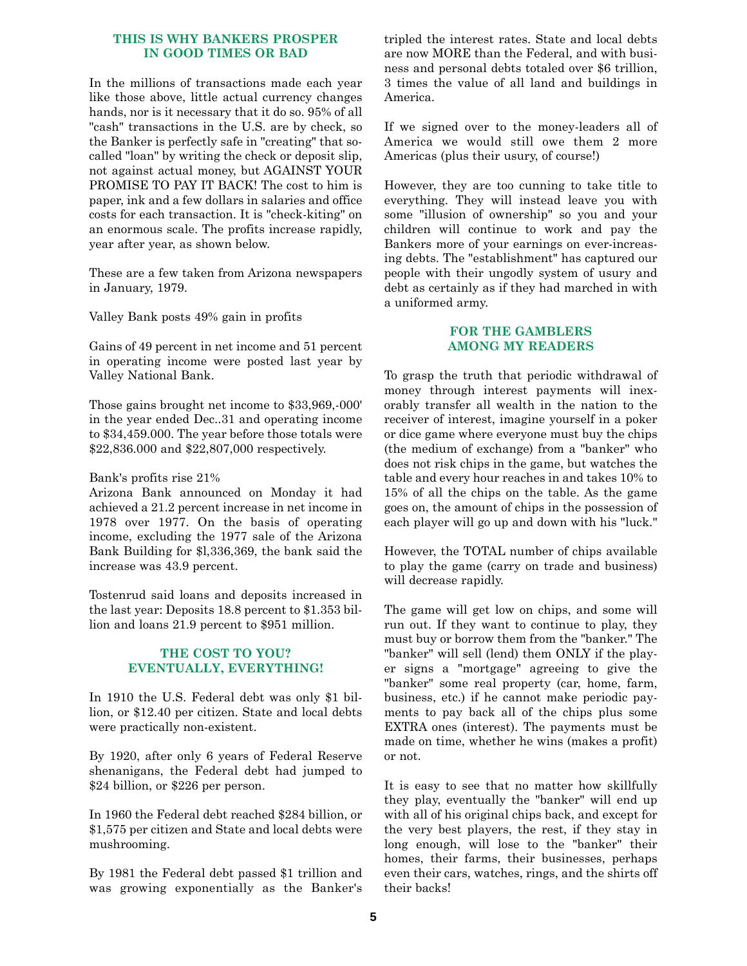## **THIS IS WHY BANKERS PROSPER IN GOOD TIMES OR BAD**

In the millions of transactions made each year like those above, little actual currency changes hands, nor is it necessary that it do so. 95% of all "cash" transactions in the U.S. are by check, so the Banker is perfectly safe in "creating" that socalled "loan" by writing the check or deposit slip, not against actual money, but AGAINST YOUR PROMISE TO PAY IT BACK! The cost to him is paper, ink and a few dollars in salaries and office costs for each transaction. It is "check-kiting" on an enormous scale. The profits increase rapidly, year after year, as shown below.

These are a few taken from Arizona newspapers in January, 1979.

Valley Bank posts 49% gain in profits

Gains of 49 percent in net income and 51 percent in operating income were posted last year by Valley National Bank.

Those gains brought net income to \$33,969,-000' in the year ended Dec..31 and operating income to \$34,459.000. The year before those totals were \$22,836.000 and \$22,807,000 respectively.

#### Bank's profits rise 21%

Arizona Bank announced on Monday it had achieved a 21.2 percent increase in net income in 1978 over 1977. On the basis of operating income, excluding the 1977 sale of the Arizona Bank Building for \$l,336,369, the bank said the increase was 43.9 percent.

Tostenrud said loans and deposits increased in the last year: Deposits 18.8 percent to \$1.353 billion and loans 21.9 percent to \$951 million.

### **THE COST TO YOU? EVENTUALLY, EVERYTHING!**

In 1910 the U.S. Federal debt was only \$1 billion, or \$12.40 per citizen. State and local debts were practically non-existent.

By 1920, after only 6 years of Federal Reserve shenanigans, the Federal debt had jumped to \$24 billion, or \$226 per person.

In 1960 the Federal debt reached \$284 billion, or \$1,575 per citizen and State and local debts were mushrooming.

By 1981 the Federal debt passed \$1 trillion and was growing exponentially as the Banker's tripled the interest rates. State and local debts are now MORE than the Federal, and with business and personal debts totaled over \$6 trillion, 3 times the value of all land and buildings in America.

If we signed over to the money-leaders all of America we would still owe them 2 more Americas (plus their usury, of course!)

However, they are too cunning to take title to everything. They will instead leave you with some "illusion of ownership" so you and your children will continue to work and pay the Bankers more of your earnings on ever-increasing debts. The "establishment" has captured our people with their ungodly system of usury and debt as certainly as if they had marched in with a uniformed army.

#### **FOR THE GAMBLERS AMONG MY READERS**

To grasp the truth that periodic withdrawal of money through interest payments will inexorably transfer all wealth in the nation to the receiver of interest, imagine yourself in a poker or dice game where everyone must buy the chips (the medium of exchange) from a "banker" who does not risk chips in the game, but watches the table and every hour reaches in and takes 10% to 15% of all the chips on the table. As the game goes on, the amount of chips in the possession of each player will go up and down with his "luck."

However, the TOTAL number of chips available to play the game (carry on trade and business) will decrease rapidly.

The game will get low on chips, and some will run out. If they want to continue to play, they must buy or borrow them from the "banker." The "banker" will sell (lend) them ONLY if the player signs a "mortgage" agreeing to give the "banker" some real property (car, home, farm, business, etc.) if he cannot make periodic payments to pay back all of the chips plus some EXTRA ones (interest). The payments must be made on time, whether he wins (makes a profit) or not.

It is easy to see that no matter how skillfully they play, eventually the "banker" will end up with all of his original chips back, and except for the very best players, the rest, if they stay in long enough, will lose to the "banker" their homes, their farms, their businesses, perhaps even their cars, watches, rings, and the shirts off their backs!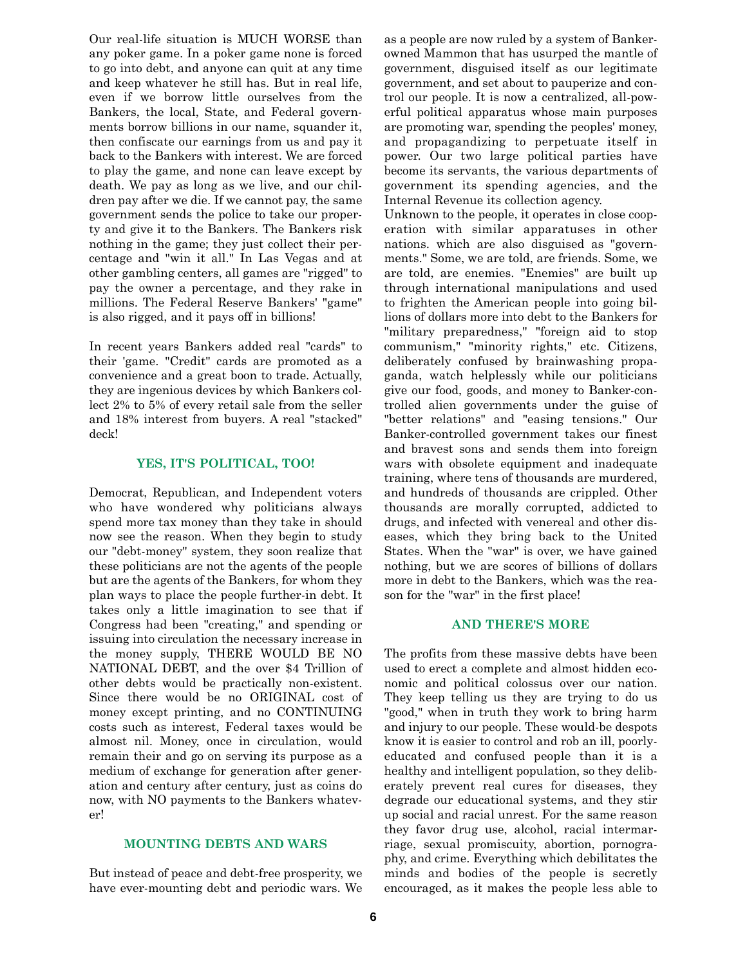Our real-life situation is MUCH WORSE than any poker game. In a poker game none is forced to go into debt, and anyone can quit at any time and keep whatever he still has. But in real life, even if we borrow little ourselves from the Bankers, the local, State, and Federal governments borrow billions in our name, squander it, then confiscate our earnings from us and pay it back to the Bankers with interest. We are forced to play the game, and none can leave except by death. We pay as long as we live, and our children pay after we die. If we cannot pay, the same government sends the police to take our property and give it to the Bankers. The Bankers risk nothing in the game; they just collect their percentage and "win it all." In Las Vegas and at other gambling centers, all games are "rigged" to pay the owner a percentage, and they rake in millions. The Federal Reserve Bankers' "game" is also rigged, and it pays off in billions!

In recent years Bankers added real "cards" to their 'game. "Credit" cards are promoted as a convenience and a great boon to trade. Actually, they are ingenious devices by which Bankers collect 2% to 5% of every retail sale from the seller and 18% interest from buyers. A real "stacked" deck!

#### **YES, IT'S POLITICAL, TOO!**

Democrat, Republican, and Independent voters who have wondered why politicians always spend more tax money than they take in should now see the reason. When they begin to study our "debt-money" system, they soon realize that these politicians are not the agents of the people but are the agents of the Bankers, for whom they plan ways to place the people further-in debt. It takes only a little imagination to see that if Congress had been "creating," and spending or issuing into circulation the necessary increase in the money supply, THERE WOULD BE NO NATIONAL DEBT, and the over \$4 Trillion of other debts would be practically non-existent. Since there would be no ORIGINAL cost of money except printing, and no CONTINUING costs such as interest, Federal taxes would be almost nil. Money, once in circulation, would remain their and go on serving its purpose as a medium of exchange for generation after generation and century after century, just as coins do now, with NO payments to the Bankers whatever!

### **MOUNTING DEBTS AND WARS**

But instead of peace and debt-free prosperity, we have ever-mounting debt and periodic wars. We as a people are now ruled by a system of Bankerowned Mammon that has usurped the mantle of government, disguised itself as our legitimate government, and set about to pauperize and control our people. It is now a centralized, all-powerful political apparatus whose main purposes are promoting war, spending the peoples' money, and propagandizing to perpetuate itself in power. Our two large political parties have become its servants, the various departments of government its spending agencies, and the Internal Revenue its collection agency.

Unknown to the people, it operates in close cooperation with similar apparatuses in other nations. which are also disguised as "governments." Some, we are told, are friends. Some, we are told, are enemies. "Enemies" are built up through international manipulations and used to frighten the American people into going billions of dollars more into debt to the Bankers for "military preparedness," "foreign aid to stop communism," "minority rights," etc. Citizens, deliberately confused by brainwashing propaganda, watch helplessly while our politicians give our food, goods, and money to Banker-controlled alien governments under the guise of "better relations" and "easing tensions." Our Banker-controlled government takes our finest and bravest sons and sends them into foreign wars with obsolete equipment and inadequate training, where tens of thousands are murdered, and hundreds of thousands are crippled. Other thousands are morally corrupted, addicted to drugs, and infected with venereal and other diseases, which they bring back to the United States. When the "war" is over, we have gained nothing, but we are scores of billions of dollars more in debt to the Bankers, which was the reason for the "war" in the first place!

#### **AND THERE'S MORE**

The profits from these massive debts have been used to erect a complete and almost hidden economic and political colossus over our nation. They keep telling us they are trying to do us "good," when in truth they work to bring harm and injury to our people. These would-be despots know it is easier to control and rob an ill, poorlyeducated and confused people than it is a healthy and intelligent population, so they deliberately prevent real cures for diseases, they degrade our educational systems, and they stir up social and racial unrest. For the same reason they favor drug use, alcohol, racial intermarriage, sexual promiscuity, abortion, pornography, and crime. Everything which debilitates the minds and bodies of the people is secretly encouraged, as it makes the people less able to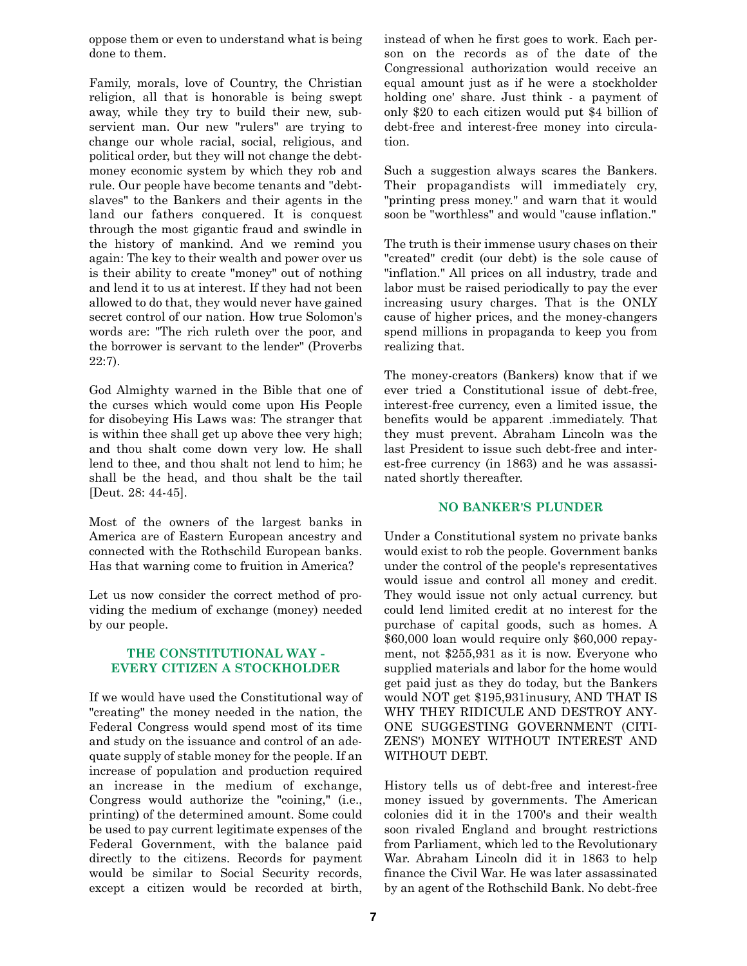oppose them or even to understand what is being done to them.

Family, morals, love of Country, the Christian religion, all that is honorable is being swept away, while they try to build their new, subservient man. Our new "rulers" are trying to change our whole racial, social, religious, and political order, but they will not change the debtmoney economic system by which they rob and rule. Our people have become tenants and "debtslaves" to the Bankers and their agents in the land our fathers conquered. It is conquest through the most gigantic fraud and swindle in the history of mankind. And we remind you again: The key to their wealth and power over us is their ability to create "money" out of nothing and lend it to us at interest. If they had not been allowed to do that, they would never have gained secret control of our nation. How true Solomon's words are: "The rich ruleth over the poor, and the borrower is servant to the lender" (Proverbs 22:7).

God Almighty warned in the Bible that one of the curses which would come upon His People for disobeying His Laws was: The stranger that is within thee shall get up above thee very high; and thou shalt come down very low. He shall lend to thee, and thou shalt not lend to him; he shall be the head, and thou shalt be the tail [Deut. 28: 44-45].

Most of the owners of the largest banks in America are of Eastern European ancestry and connected with the Rothschild European banks. Has that warning come to fruition in America?

Let us now consider the correct method of providing the medium of exchange (money) needed by our people.

## **THE CONSTITUTIONAL WAY - EVERY CITIZEN A STOCKHOLDER**

If we would have used the Constitutional way of "creating" the money needed in the nation, the Federal Congress would spend most of its time and study on the issuance and control of an adequate supply of stable money for the people. If an increase of population and production required an increase in the medium of exchange, Congress would authorize the "coining," (i.e., printing) of the determined amount. Some could be used to pay current legitimate expenses of the Federal Government, with the balance paid directly to the citizens. Records for payment would be similar to Social Security records, except a citizen would be recorded at birth, instead of when he first goes to work. Each person on the records as of the date of the Congressional authorization would receive an equal amount just as if he were a stockholder holding one' share. Just think - a payment of only \$20 to each citizen would put \$4 billion of debt-free and interest-free money into circulation.

Such a suggestion always scares the Bankers. Their propagandists will immediately cry, "printing press money." and warn that it would soon be "worthless" and would "cause inflation."

The truth is their immense usury chases on their "created" credit (our debt) is the sole cause of "inflation." All prices on all industry, trade and labor must be raised periodically to pay the ever increasing usury charges. That is the ONLY cause of higher prices, and the money-changers spend millions in propaganda to keep you from realizing that.

The money-creators (Bankers) know that if we ever tried a Constitutional issue of debt-free, interest-free currency, even a limited issue, the benefits would be apparent .immediately. That they must prevent. Abraham Lincoln was the last President to issue such debt-free and interest-free currency (in 1863) and he was assassinated shortly thereafter.

# **NO BANKER'S PLUNDER**

Under a Constitutional system no private banks would exist to rob the people. Government banks under the control of the people's representatives would issue and control all money and credit. They would issue not only actual currency. but could lend limited credit at no interest for the purchase of capital goods, such as homes. A \$60,000 loan would require only \$60,000 repayment, not \$255,931 as it is now. Everyone who supplied materials and labor for the home would get paid just as they do today, but the Bankers would NOT get \$195,931inusury, AND THAT IS WHY THEY RIDICULE AND DESTROY ANY-ONE SUGGESTING GOVERNMENT (CITI-ZENS') MONEY WITHOUT INTEREST AND WITHOUT DEBT.

History tells us of debt-free and interest-free money issued by governments. The American colonies did it in the 1700's and their wealth soon rivaled England and brought restrictions from Parliament, which led to the Revolutionary War. Abraham Lincoln did it in 1863 to help finance the Civil War. He was later assassinated by an agent of the Rothschild Bank. No debt-free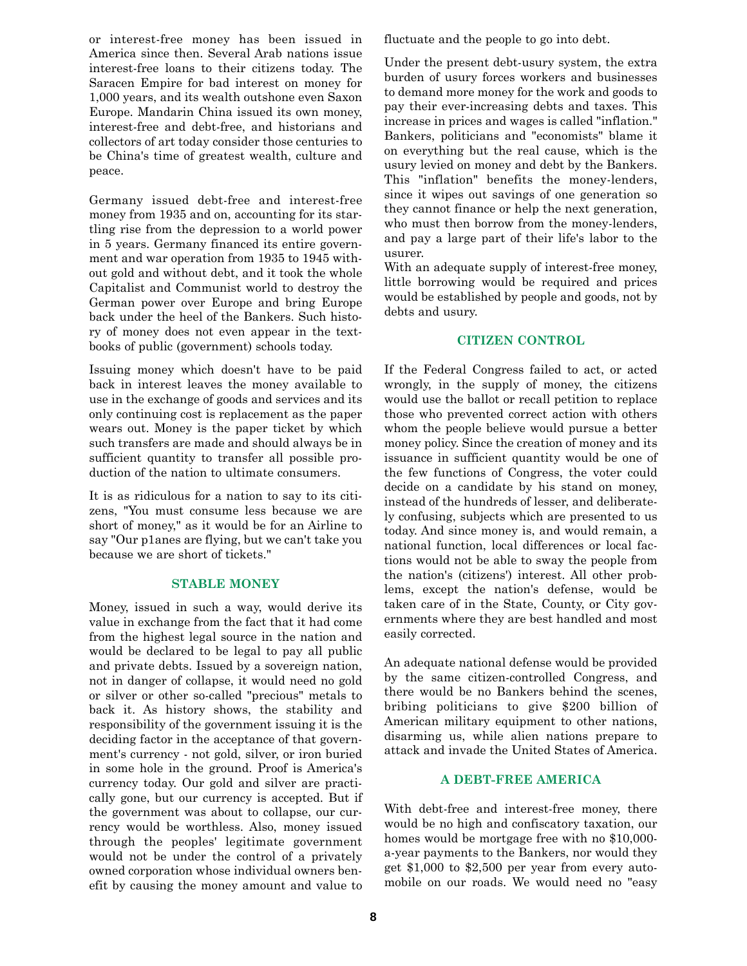or interest-free money has been issued in America since then. Several Arab nations issue interest-free loans to their citizens today. The Saracen Empire for bad interest on money for 1,000 years, and its wealth outshone even Saxon Europe. Mandarin China issued its own money, interest-free and debt-free, and historians and collectors of art today consider those centuries to be China's time of greatest wealth, culture and peace.

Germany issued debt-free and interest-free money from 1935 and on, accounting for its startling rise from the depression to a world power in 5 years. Germany financed its entire government and war operation from 1935 to 1945 without gold and without debt, and it took the whole Capitalist and Communist world to destroy the German power over Europe and bring Europe back under the heel of the Bankers. Such history of money does not even appear in the textbooks of public (government) schools today.

Issuing money which doesn't have to be paid back in interest leaves the money available to use in the exchange of goods and services and its only continuing cost is replacement as the paper wears out. Money is the paper ticket by which such transfers are made and should always be in sufficient quantity to transfer all possible production of the nation to ultimate consumers.

It is as ridiculous for a nation to say to its citizens, "You must consume less because we are short of money," as it would be for an Airline to say "Our p1anes are flying, but we can't take you because we are short of tickets."

#### **STABLE MONEY**

Money, issued in such a way, would derive its value in exchange from the fact that it had come from the highest legal source in the nation and would be declared to be legal to pay all public and private debts. Issued by a sovereign nation, not in danger of collapse, it would need no gold or silver or other so-called "precious" metals to back it. As history shows, the stability and responsibility of the government issuing it is the deciding factor in the acceptance of that government's currency - not gold, silver, or iron buried in some hole in the ground. Proof is America's currency today. Our gold and silver are practically gone, but our currency is accepted. But if the government was about to collapse, our currency would be worthless. Also, money issued through the peoples' legitimate government would not be under the control of a privately owned corporation whose individual owners benefit by causing the money amount and value to fluctuate and the people to go into debt.

Under the present debt-usury system, the extra burden of usury forces workers and businesses to demand more money for the work and goods to pay their ever-increasing debts and taxes. This increase in prices and wages is called "inflation." Bankers, politicians and "economists" blame it on everything but the real cause, which is the usury levied on money and debt by the Bankers. This "inflation" benefits the money-lenders, since it wipes out savings of one generation so they cannot finance or help the next generation, who must then borrow from the money-lenders, and pay a large part of their life's labor to the usurer.

With an adequate supply of interest-free money, little borrowing would be required and prices would be established by people and goods, not by debts and usury.

#### **CITIZEN CONTROL**

If the Federal Congress failed to act, or acted wrongly, in the supply of money, the citizens would use the ballot or recall petition to replace those who prevented correct action with others whom the people believe would pursue a better money policy. Since the creation of money and its issuance in sufficient quantity would be one of the few functions of Congress, the voter could decide on a candidate by his stand on money, instead of the hundreds of lesser, and deliberately confusing, subjects which are presented to us today. And since money is, and would remain, a national function, local differences or local factions would not be able to sway the people from the nation's (citizens') interest. All other problems, except the nation's defense, would be taken care of in the State, County, or City governments where they are best handled and most easily corrected.

An adequate national defense would be provided by the same citizen-controlled Congress, and there would be no Bankers behind the scenes, bribing politicians to give \$200 billion of American military equipment to other nations, disarming us, while alien nations prepare to attack and invade the United States of America.

### **A DEBT-FREE AMERICA**

With debt-free and interest-free money, there would be no high and confiscatory taxation, our homes would be mortgage free with no \$10,000 a-year payments to the Bankers, nor would they get \$1,000 to \$2,500 per year from every automobile on our roads. We would need no "easy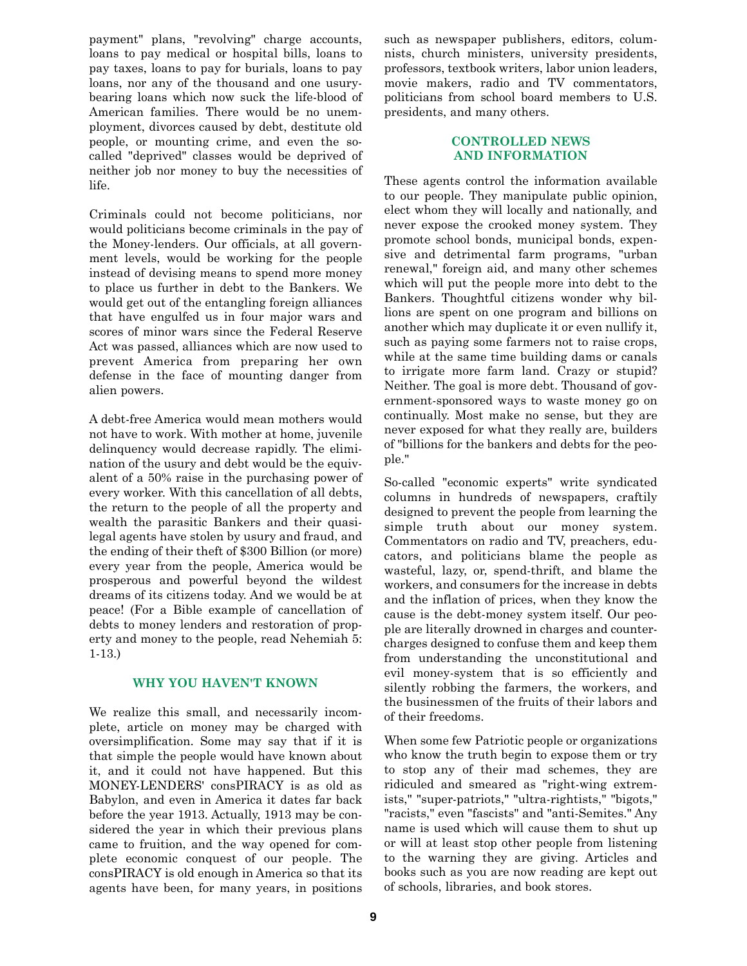payment" plans, "revolving" charge accounts, loans to pay medical or hospital bills, loans to pay taxes, loans to pay for burials, loans to pay loans, nor any of the thousand and one usurybearing loans which now suck the life-blood of American families. There would be no unemployment, divorces caused by debt, destitute old people, or mounting crime, and even the socalled "deprived" classes would be deprived of neither job nor money to buy the necessities of life.

Criminals could not become politicians, nor would politicians become criminals in the pay of the Money-lenders. Our officials, at all government levels, would be working for the people instead of devising means to spend more money to place us further in debt to the Bankers. We would get out of the entangling foreign alliances that have engulfed us in four major wars and scores of minor wars since the Federal Reserve Act was passed, alliances which are now used to prevent America from preparing her own defense in the face of mounting danger from alien powers.

A debt-free America would mean mothers would not have to work. With mother at home, juvenile delinquency would decrease rapidly. The elimination of the usury and debt would be the equivalent of a 50% raise in the purchasing power of every worker. With this cancellation of all debts, the return to the people of all the property and wealth the parasitic Bankers and their quasilegal agents have stolen by usury and fraud, and the ending of their theft of \$300 Billion (or more) every year from the people, America would be prosperous and powerful beyond the wildest dreams of its citizens today. And we would be at peace! (For a Bible example of cancellation of debts to money lenders and restoration of property and money to the people, read Nehemiah 5: 1-13.)

## **WHY YOU HAVEN'T KNOWN**

We realize this small, and necessarily incomplete, article on money may be charged with oversimplification. Some may say that if it is that simple the people would have known about it, and it could not have happened. But this MONEY-LENDERS' consPIRACY is as old as Babylon, and even in America it dates far back before the year 1913. Actually, 1913 may be considered the year in which their previous plans came to fruition, and the way opened for complete economic conquest of our people. The consPIRACY is old enough in America so that its agents have been, for many years, in positions such as newspaper publishers, editors, columnists, church ministers, university presidents, professors, textbook writers, labor union leaders, movie makers, radio and TV commentators, politicians from school board members to U.S. presidents, and many others.

## **CONTROLLED NEWS AND INFORMATION**

These agents control the information available to our people. They manipulate public opinion, elect whom they will locally and nationally, and never expose the crooked money system. They promote school bonds, municipal bonds, expensive and detrimental farm programs, "urban renewal," foreign aid, and many other schemes which will put the people more into debt to the Bankers. Thoughtful citizens wonder why billions are spent on one program and billions on another which may duplicate it or even nullify it, such as paying some farmers not to raise crops, while at the same time building dams or canals to irrigate more farm land. Crazy or stupid? Neither. The goal is more debt. Thousand of government-sponsored ways to waste money go on continually. Most make no sense, but they are never exposed for what they really are, builders of "billions for the bankers and debts for the people."

So-called "economic experts" write syndicated columns in hundreds of newspapers, craftily designed to prevent the people from learning the simple truth about our money system. Commentators on radio and TV, preachers, educators, and politicians blame the people as wasteful, lazy, or, spend-thrift, and blame the workers, and consumers for the increase in debts and the inflation of prices, when they know the cause is the debt-money system itself. Our people are literally drowned in charges and countercharges designed to confuse them and keep them from understanding the unconstitutional and evil money-system that is so efficiently and silently robbing the farmers, the workers, and the businessmen of the fruits of their labors and of their freedoms.

When some few Patriotic people or organizations who know the truth begin to expose them or try to stop any of their mad schemes, they are ridiculed and smeared as "right-wing extremists," "super-patriots," "ultra-rightists," "bigots," "racists," even "fascists" and "anti-Semites." Any name is used which will cause them to shut up or will at least stop other people from listening to the warning they are giving. Articles and books such as you are now reading are kept out of schools, libraries, and book stores.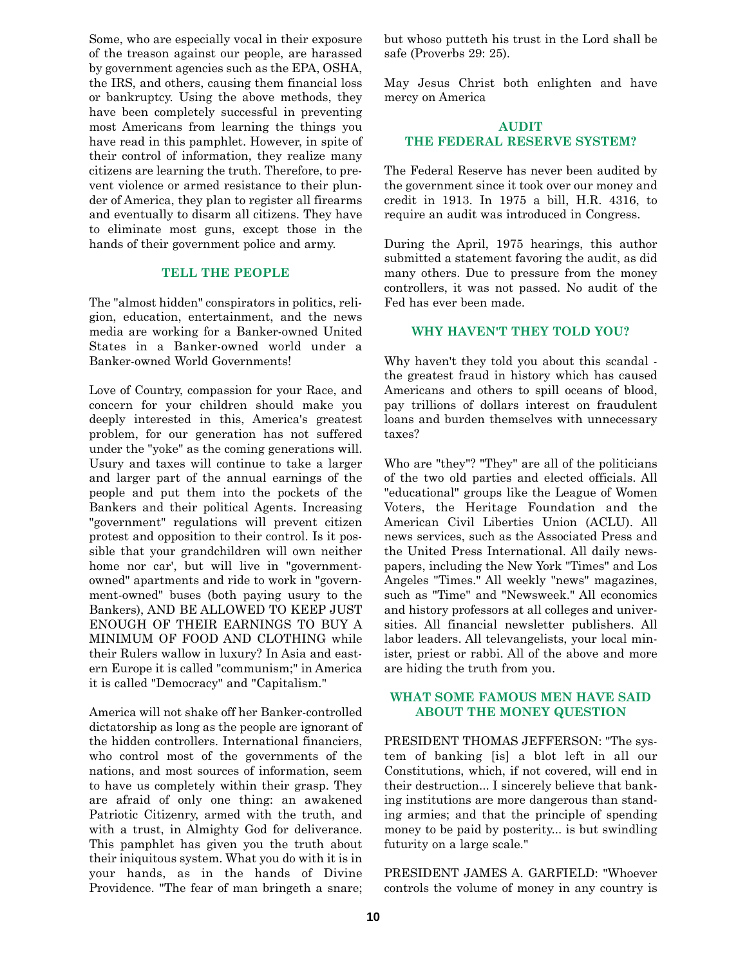Some, who are especially vocal in their exposure of the treason against our people, are harassed by government agencies such as the EPA, OSHA, the IRS, and others, causing them financial loss or bankruptcy. Using the above methods, they have been completely successful in preventing most Americans from learning the things you have read in this pamphlet. However, in spite of their control of information, they realize many citizens are learning the truth. Therefore, to prevent violence or armed resistance to their plunder of America, they plan to register all firearms and eventually to disarm all citizens. They have to eliminate most guns, except those in the hands of their government police and army.

#### **TELL THE PEOPLE**

The "almost hidden" conspirators in politics, religion, education, entertainment, and the news media are working for a Banker-owned United States in a Banker-owned world under a Banker-owned World Governments!

Love of Country, compassion for your Race, and concern for your children should make you deeply interested in this, America's greatest problem, for our generation has not suffered under the "yoke" as the coming generations will. Usury and taxes will continue to take a larger and larger part of the annual earnings of the people and put them into the pockets of the Bankers and their political Agents. Increasing "government" regulations will prevent citizen protest and opposition to their control. Is it possible that your grandchildren will own neither home nor car', but will live in "governmentowned" apartments and ride to work in "government-owned" buses (both paying usury to the Bankers), AND BE ALLOWED TO KEEP JUST ENOUGH OF THEIR EARNINGS TO BUY A MINIMUM OF FOOD AND CLOTHING while their Rulers wallow in luxury? In Asia and eastern Europe it is called "communism;" in America it is called "Democracy" and "Capitalism."

America will not shake off her Banker-controlled dictatorship as long as the people are ignorant of the hidden controllers. International financiers, who control most of the governments of the nations, and most sources of information, seem to have us completely within their grasp. They are afraid of only one thing: an awakened Patriotic Citizenry, armed with the truth, and with a trust, in Almighty God for deliverance. This pamphlet has given you the truth about their iniquitous system. What you do with it is in your hands, as in the hands of Divine Providence. "The fear of man bringeth a snare; but whoso putteth his trust in the Lord shall be safe (Proverbs 29: 25).

May Jesus Christ both enlighten and have mercy on America

## **AUDIT THE FEDERAL RESERVE SYSTEM?**

The Federal Reserve has never been audited by the government since it took over our money and credit in 1913. In 1975 a bill, H.R. 4316, to require an audit was introduced in Congress.

During the April, 1975 hearings, this author submitted a statement favoring the audit, as did many others. Due to pressure from the money controllers, it was not passed. No audit of the Fed has ever been made.

## **WHY HAVEN'T THEY TOLD YOU?**

Why haven't they told you about this scandal the greatest fraud in history which has caused Americans and others to spill oceans of blood, pay trillions of dollars interest on fraudulent loans and burden themselves with unnecessary taxes?

Who are "they"? "They" are all of the politicians of the two old parties and elected officials. All "educational" groups like the League of Women Voters, the Heritage Foundation and the American Civil Liberties Union (ACLU). All news services, such as the Associated Press and the United Press International. All daily newspapers, including the New York "Times" and Los Angeles "Times." All weekly "news" magazines, such as "Time" and "Newsweek." All economics and history professors at all colleges and universities. All financial newsletter publishers. All labor leaders. All televangelists, your local minister, priest or rabbi. All of the above and more are hiding the truth from you.

## **WHAT SOME FAMOUS MEN HAVE SAID ABOUT THE MONEY QUESTION**

PRESIDENT THOMAS JEFFERSON: "The system of banking [is] a blot left in all our Constitutions, which, if not covered, will end in their destruction... I sincerely believe that banking institutions are more dangerous than standing armies; and that the principle of spending money to be paid by posterity... is but swindling futurity on a large scale."

PRESIDENT JAMES A. GARFIELD: "Whoever controls the volume of money in any country is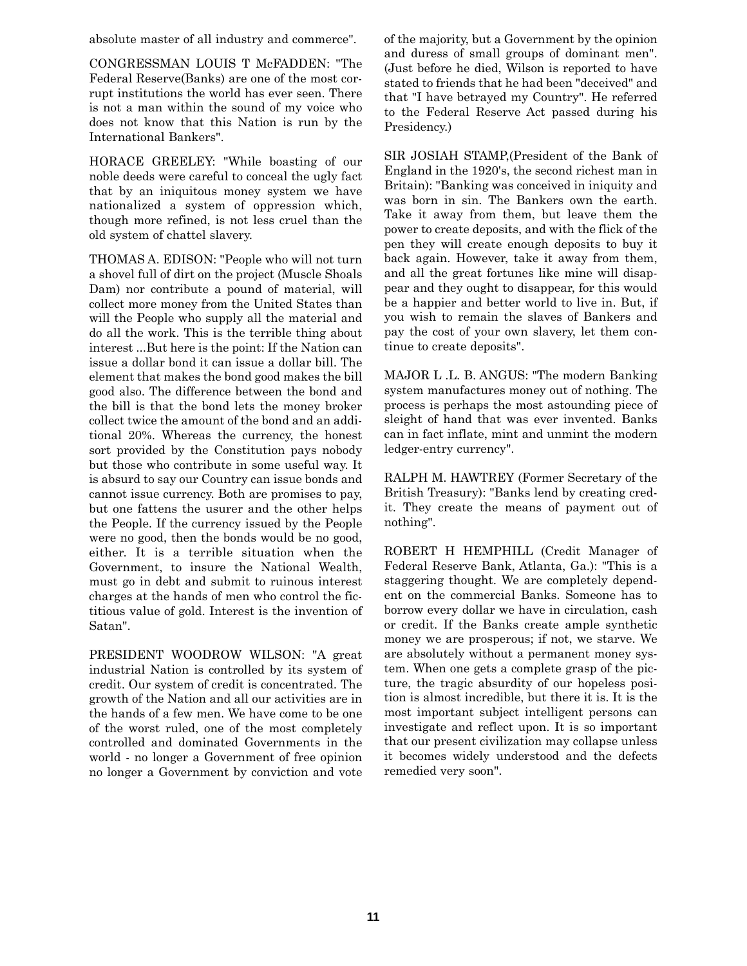absolute master of all industry and commerce".

CONGRESSMAN LOUIS T McFADDEN: "The Federal Reserve(Banks) are one of the most corrupt institutions the world has ever seen. There is not a man within the sound of my voice who does not know that this Nation is run by the International Bankers".

HORACE GREELEY: "While boasting of our noble deeds were careful to conceal the ugly fact that by an iniquitous money system we have nationalized a system of oppression which, though more refined, is not less cruel than the old system of chattel slavery.

THOMAS A. EDISON: "People who will not turn a shovel full of dirt on the project (Muscle Shoals Dam) nor contribute a pound of material, will collect more money from the United States than will the People who supply all the material and do all the work. This is the terrible thing about interest ...But here is the point: If the Nation can issue a dollar bond it can issue a dollar bill. The element that makes the bond good makes the bill good also. The difference between the bond and the bill is that the bond lets the money broker collect twice the amount of the bond and an additional 20%. Whereas the currency, the honest sort provided by the Constitution pays nobody but those who contribute in some useful way. It is absurd to say our Country can issue bonds and cannot issue currency. Both are promises to pay, but one fattens the usurer and the other helps the People. If the currency issued by the People were no good, then the bonds would be no good, either. It is a terrible situation when the Government, to insure the National Wealth, must go in debt and submit to ruinous interest charges at the hands of men who control the fictitious value of gold. Interest is the invention of Satan".

PRESIDENT WOODROW WILSON: "A great industrial Nation is controlled by its system of credit. Our system of credit is concentrated. The growth of the Nation and all our activities are in the hands of a few men. We have come to be one of the worst ruled, one of the most completely controlled and dominated Governments in the world - no longer a Government of free opinion no longer a Government by conviction and vote of the majority, but a Government by the opinion and duress of small groups of dominant men". (Just before he died, Wilson is reported to have stated to friends that he had been "deceived" and that "I have betrayed my Country". He referred to the Federal Reserve Act passed during his Presidency.)

SIR JOSIAH STAMP,(President of the Bank of England in the 1920's, the second richest man in Britain): "Banking was conceived in iniquity and was born in sin. The Bankers own the earth. Take it away from them, but leave them the power to create deposits, and with the flick of the pen they will create enough deposits to buy it back again. However, take it away from them, and all the great fortunes like mine will disappear and they ought to disappear, for this would be a happier and better world to live in. But, if you wish to remain the slaves of Bankers and pay the cost of your own slavery, let them continue to create deposits".

MAJOR L .L. B. ANGUS: "The modern Banking system manufactures money out of nothing. The process is perhaps the most astounding piece of sleight of hand that was ever invented. Banks can in fact inflate, mint and unmint the modern ledger-entry currency".

RALPH M. HAWTREY (Former Secretary of the British Treasury): "Banks lend by creating credit. They create the means of payment out of nothing".

ROBERT H HEMPHILL (Credit Manager of Federal Reserve Bank, Atlanta, Ga.): "This is a staggering thought. We are completely dependent on the commercial Banks. Someone has to borrow every dollar we have in circulation, cash or credit. If the Banks create ample synthetic money we are prosperous; if not, we starve. We are absolutely without a permanent money system. When one gets a complete grasp of the picture, the tragic absurdity of our hopeless position is almost incredible, but there it is. It is the most important subject intelligent persons can investigate and reflect upon. It is so important that our present civilization may collapse unless it becomes widely understood and the defects remedied very soon".